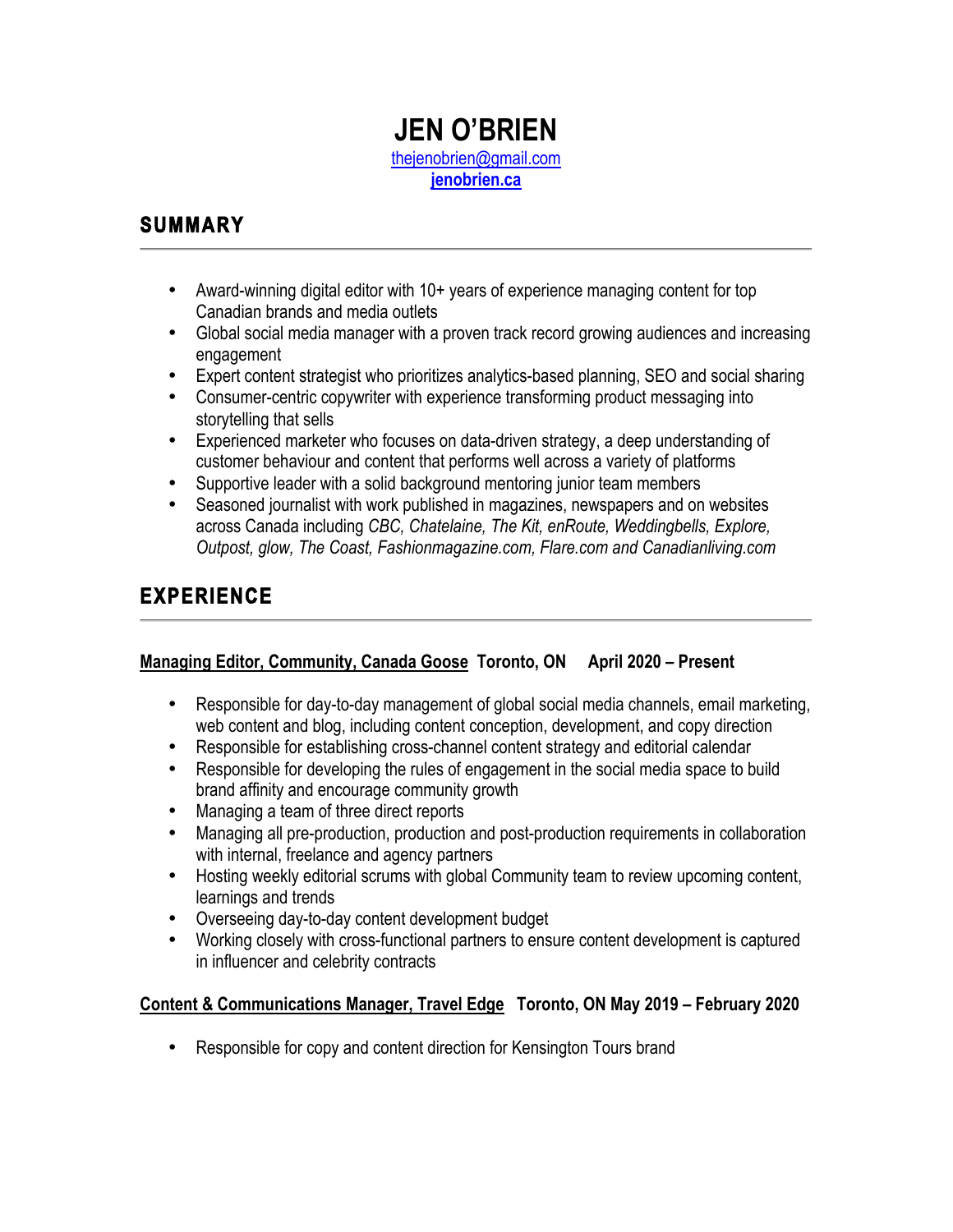## **JEN O'BRIEN** thejenobrien@gmail.com **jenobrien.ca**

## **SUMMARY**

- Award-winning digital editor with 10+ years of experience managing content for top Canadian brands and media outlets
- Global social media manager with a proven track record growing audiences and increasing engagement
- Expert content strategist who prioritizes analytics-based planning, SEO and social sharing
- Consumer-centric copywriter with experience transforming product messaging into storytelling that sells
- Experienced marketer who focuses on data-driven strategy, a deep understanding of customer behaviour and content that performs well across a variety of platforms
- Supportive leader with a solid background mentoring junior team members
- Seasoned journalist with work published in magazines, newspapers and on websites across Canada including *CBC, Chatelaine, The Kit, enRoute, Weddingbells, Explore, Outpost, glow, The Coast, Fashionmagazine.com, Flare.com and Canadianliving.com*

# **EXPERIENCE**

### **Managing Editor, Community, Canada Goose Toronto, ON April 2020 – Present**

- Responsible for day-to-day management of global social media channels, email marketing, web content and blog, including content conception, development, and copy direction
- Responsible for establishing cross-channel content strategy and editorial calendar
- Responsible for developing the rules of engagement in the social media space to build brand affinity and encourage community growth
- Managing a team of three direct reports
- Managing all pre-production, production and post-production requirements in collaboration with internal, freelance and agency partners
- Hosting weekly editorial scrums with global Community team to review upcoming content, learnings and trends
- Overseeing day-to-day content development budget
- Working closely with cross-functional partners to ensure content development is captured in influencer and celebrity contracts

### **Content & Communications Manager, Travel Edge Toronto, ON May 2019 – February 2020**

• Responsible for copy and content direction for Kensington Tours brand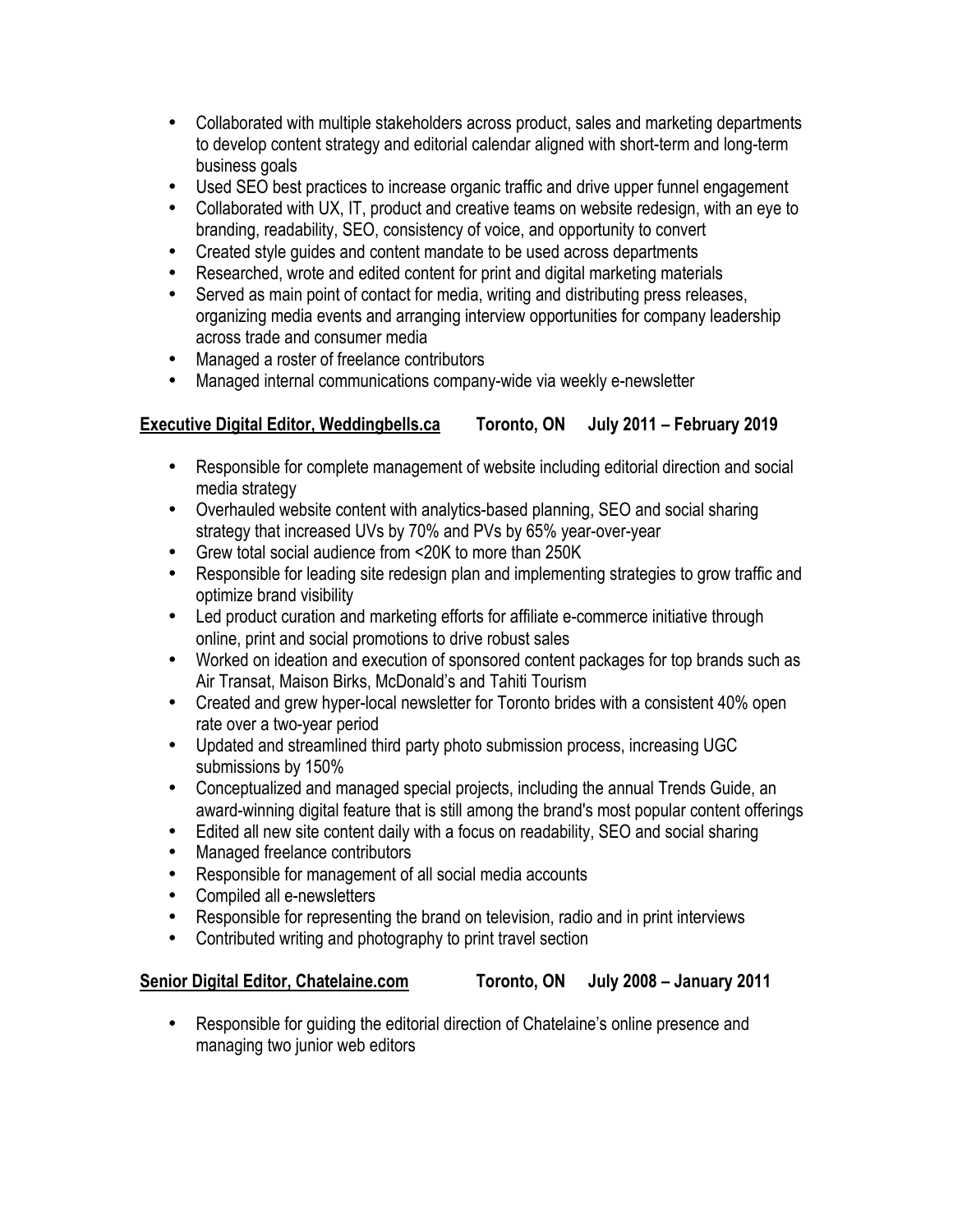- Collaborated with multiple stakeholders across product, sales and marketing departments to develop content strategy and editorial calendar aligned with short-term and long-term business goals
- Used SEO best practices to increase organic traffic and drive upper funnel engagement
- Collaborated with UX, IT, product and creative teams on website redesign, with an eye to branding, readability, SEO, consistency of voice, and opportunity to convert
- Created style guides and content mandate to be used across departments
- Researched, wrote and edited content for print and digital marketing materials
- Served as main point of contact for media, writing and distributing press releases, organizing media events and arranging interview opportunities for company leadership across trade and consumer media
- Managed a roster of freelance contributors
- Managed internal communications company-wide via weekly e-newsletter

### **Executive Digital Editor, Weddingbells.ca Toronto, ON July 2011 – February 2019**

- Responsible for complete management of website including editorial direction and social media strategy
- Overhauled website content with analytics-based planning, SEO and social sharing strategy that increased UVs by 70% and PVs by 65% year-over-year
- Grew total social audience from <20K to more than 250K
- Responsible for leading site redesign plan and implementing strategies to grow traffic and optimize brand visibility
- Led product curation and marketing efforts for affiliate e-commerce initiative through online, print and social promotions to drive robust sales
- Worked on ideation and execution of sponsored content packages for top brands such as Air Transat, Maison Birks, McDonald's and Tahiti Tourism
- Created and grew hyper-local newsletter for Toronto brides with a consistent 40% open rate over a two-year period
- Updated and streamlined third party photo submission process, increasing UGC submissions by 150%
- Conceptualized and managed special projects, including the annual Trends Guide, an award-winning digital feature that is still among the brand's most popular content offerings
- Edited all new site content daily with a focus on readability, SEO and social sharing
- Managed freelance contributors
- Responsible for management of all social media accounts
- Compiled all e-newsletters
- Responsible for representing the brand on television, radio and in print interviews
- Contributed writing and photography to print travel section

**Senior Digital Editor, Chatelaine.com Toronto, ON July 2008 – January 2011**

• Responsible for guiding the editorial direction of Chatelaine's online presence and managing two junior web editors